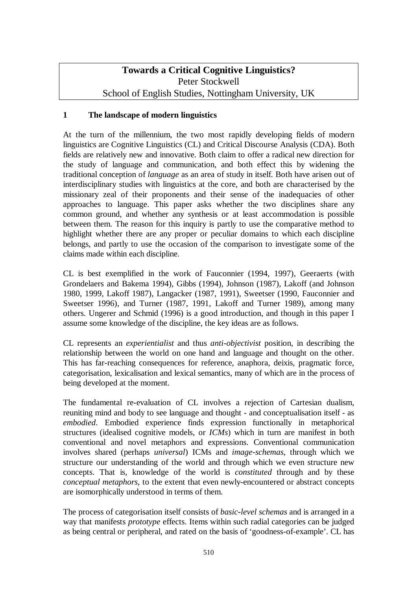# **Towards a Critical Cognitive Linguistics?**  Peter Stockwell School of English Studies, Nottingham University, UK

## **1 The landscape of modern linguistics**

At the turn of the millennium, the two most rapidly developing fields of modern linguistics are Cognitive Linguistics (CL) and Critical Discourse Analysis (CDA). Both fields are relatively new and innovative. Both claim to offer a radical new direction for the study of language and communication, and both effect this by widening the traditional conception of *language* as an area of study in itself. Both have arisen out of interdisciplinary studies with linguistics at the core, and both are characterised by the missionary zeal of their proponents and their sense of the inadequacies of other approaches to language. This paper asks whether the two disciplines share any common ground, and whether any synthesis or at least accommodation is possible between them. The reason for this inquiry is partly to use the comparative method to highlight whether there are any proper or peculiar domains to which each discipline belongs, and partly to use the occasion of the comparison to investigate some of the claims made within each discipline.

CL is best exemplified in the work of Fauconnier (1994, 1997), Geeraerts (with Grondelaers and Bakema 1994), Gibbs (1994), Johnson (1987), Lakoff (and Johnson 1980, 1999, Lakoff 1987), Langacker (1987, 1991), Sweetser (1990, Fauconnier and Sweetser 1996), and Turner (1987, 1991, Lakoff and Turner 1989), among many others. Ungerer and Schmid (1996) is a good introduction, and though in this paper I assume some knowledge of the discipline, the key ideas are as follows.

CL represents an *experientialist* and thus *anti-objectivist* position, in describing the relationship between the world on one hand and language and thought on the other. This has far-reaching consequences for reference, anaphora, deixis, pragmatic force, categorisation, lexicalisation and lexical semantics, many of which are in the process of being developed at the moment.

The fundamental re-evaluation of CL involves a rejection of Cartesian dualism, reuniting mind and body to see language and thought - and conceptualisation itself - as *embodied*. Embodied experience finds expression functionally in metaphorical structures (idealised cognitive models, or *ICMs*) which in turn are manifest in both conventional and novel metaphors and expressions. Conventional communication involves shared (perhaps *universal*) ICMs and *image-schemas*, through which we structure our understanding of the world and through which we even structure new concepts. That is, knowledge of the world is *constituted* through and by these *conceptual metaphors*, to the extent that even newly-encountered or abstract concepts are isomorphically understood in terms of them.

The process of categorisation itself consists of *basic-level schemas* and is arranged in a way that manifests *prototype* effects. Items within such radial categories can be judged as being central or peripheral, and rated on the basis of 'goodness-of-example'. CL has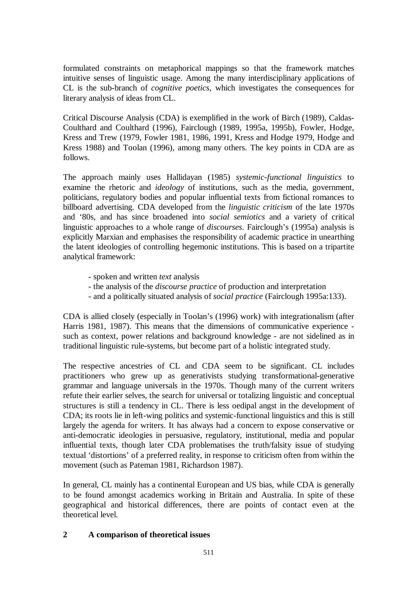formulated constraints on metaphorical mappings so that the framework matches intuitive senses of linguistic usage. Among the many interdisciplinary applications of CL is the sub-branch of *cognitive poetics*, which investigates the consequences for literary analysis of ideas from CL.

Critical Discourse Analysis (CDA) is exemplified in the work of Birch (1989), Caldas-Coulthard and Coulthard (1996), Fairclough (1989, 1995a, 1995b), Fowler, Hodge, Kress and Trew (1979, Fowler 1981, 1986, 1991, Kress and Hodge 1979, Hodge and Kress 1988) and Toolan (1996), among many others. The key points in CDA are as follows.

The approach mainly uses Hallidayan (1985) *systemic-functional linguistics* to examine the rhetoric and *ideology* of institutions, such as the media, government, politicians, regulatory bodies and popular influential texts from fictional romances to billboard advertising. CDA developed from the *linguistic criticism* of the late 1970s and '80s, and has since broadened into *social semiotics* and a variety of critical linguistic approaches to a whole range of *discourses*. Fairclough's (1995a) analysis is explicitly Marxian and emphasises the responsibility of academic practice in unearthing the latent ideologies of controlling hegemonic institutions. This is based on a tripartite analytical framework:

- spoken and written *text* analysis
- the analysis of the *discourse practice* of production and interpretation
- and a politically situated analysis of *social practice* (Fairclough 1995a:133).

CDA is allied closely (especially in Toolan's (1996) work) with integrationalism (after Harris 1981, 1987). This means that the dimensions of communicative experience such as context, power relations and background knowledge - are not sidelined as in traditional linguistic rule-systems, but become part of a holistic integrated study.

The respective ancestries of CL and CDA seem to be significant. CL includes practitioners who grew up as generativists studying transformational-generative grammar and language universals in the 1970s. Though many of the current writers refute their earlier selves, the search for universal or totalizing linguistic and conceptual structures is still a tendency in CL. There is less oedipal angst in the development of CDA; its roots lie in left-wing politics and systemic-functional linguistics and this is still largely the agenda for writers. It has always had a concern to expose conservative or anti-democratic ideologies in persuasive, regulatory, institutional, media and popular influential texts, though later CDA problematises the truth/falsity issue of studying textual 'distortions' of a preferred reality, in response to criticism often from within the movement (such as Pateman 1981, Richardson 1987).

In general, CL mainly has a continental European and US bias, while CDA is generally to be found amongst academics working in Britain and Australia. In spite of these geographical and historical differences, there are points of contact even at the theoretical level.

## **2 A comparison of theoretical issues**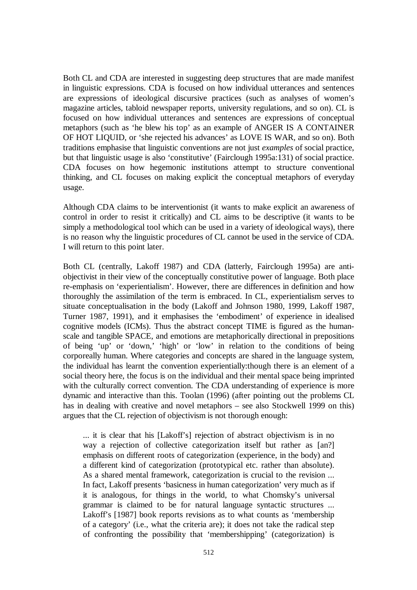Both CL and CDA are interested in suggesting deep structures that are made manifest in linguistic expressions. CDA is focused on how individual utterances and sentences are expressions of ideological discursive practices (such as analyses of women's magazine articles, tabloid newspaper reports, university regulations, and so on). CL is focused on how individual utterances and sentences are expressions of conceptual metaphors (such as 'he blew his top' as an example of ANGER IS A CONTAINER OF HOT LIQUID, or 'she rejected his advances' as LOVE IS WAR, and so on). Both traditions emphasise that linguistic conventions are not just *examples* of social practice, but that linguistic usage is also 'constitutive' (Fairclough 1995a:131) of social practice. CDA focuses on how hegemonic institutions attempt to structure conventional thinking, and CL focuses on making explicit the conceptual metaphors of everyday usage.

Although CDA claims to be interventionist (it wants to make explicit an awareness of control in order to resist it critically) and CL aims to be descriptive (it wants to be simply a methodological tool which can be used in a variety of ideological ways), there is no reason why the linguistic procedures of CL cannot be used in the service of CDA. I will return to this point later.

Both CL (centrally, Lakoff 1987) and CDA (latterly, Fairclough 1995a) are antiobjectivist in their view of the conceptually constitutive power of language. Both place re-emphasis on 'experientialism'. However, there are differences in definition and how thoroughly the assimilation of the term is embraced. In CL, experientialism serves to situate conceptualisation in the body (Lakoff and Johnson 1980, 1999, Lakoff 1987, Turner 1987, 1991), and it emphasises the 'embodiment' of experience in idealised cognitive models (ICMs). Thus the abstract concept TIME is figured as the humanscale and tangible SPACE, and emotions are metaphorically directional in prepositions of being 'up' or 'down,' 'high' or 'low' in relation to the conditions of being corporeally human. Where categories and concepts are shared in the language system, the individual has learnt the convention experientially:though there is an element of a social theory here, the focus is on the individual and their mental space being imprinted with the culturally correct convention. The CDA understanding of experience is more dynamic and interactive than this. Toolan (1996) (after pointing out the problems CL has in dealing with creative and novel metaphors – see also Stockwell 1999 on this) argues that the CL rejection of objectivism is not thorough enough:

... it is clear that his [Lakoff's] rejection of abstract objectivism is in no way a rejection of collective categorization itself but rather as [an?] emphasis on different roots of categorization (experience, in the body) and a different kind of categorization (prototypical etc. rather than absolute). As a shared mental framework, categorization is crucial to the revision ... In fact, Lakoff presents 'basicness in human categorization' very much as if it is analogous, for things in the world, to what Chomsky's universal grammar is claimed to be for natural language syntactic structures ... Lakoff's [1987] book reports revisions as to what counts as 'membership of a category' (i.e., what the criteria are); it does not take the radical step of confronting the possibility that 'membershipping' (categorization) is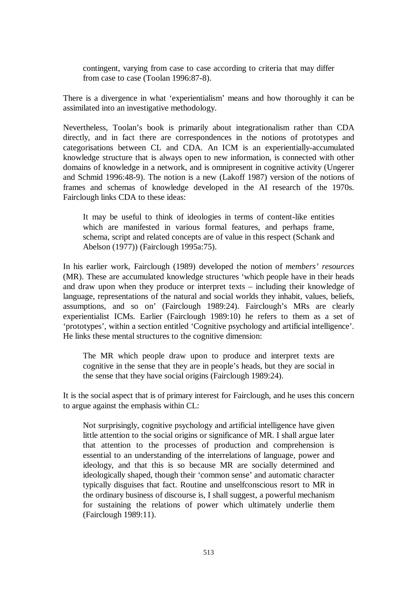contingent, varying from case to case according to criteria that may differ from case to case (Toolan 1996:87-8).

There is a divergence in what 'experientialism' means and how thoroughly it can be assimilated into an investigative methodology.

Nevertheless, Toolan's book is primarily about integrationalism rather than CDA directly, and in fact there are correspondences in the notions of prototypes and categorisations between CL and CDA. An ICM is an experientially-accumulated knowledge structure that is always open to new information, is connected with other domains of knowledge in a network, and is omnipresent in cognitive activity (Ungerer and Schmid 1996:48-9). The notion is a new (Lakoff 1987) version of the notions of frames and schemas of knowledge developed in the AI research of the 1970s. Fairclough links CDA to these ideas:

It may be useful to think of ideologies in terms of content-like entities which are manifested in various formal features, and perhaps frame, schema, script and related concepts are of value in this respect (Schank and Abelson (1977)) (Fairclough 1995a:75).

In his earlier work, Fairclough (1989) developed the notion of *members' resources* (MR). These are accumulated knowledge structures 'which people have in their heads and draw upon when they produce or interpret texts – including their knowledge of language, representations of the natural and social worlds they inhabit, values, beliefs, assumptions, and so on' (Fairclough 1989:24). Fairclough's MRs are clearly experientialist ICMs. Earlier (Fairclough 1989:10) he refers to them as a set of 'prototypes', within a section entitled 'Cognitive psychology and artificial intelligence'. He links these mental structures to the cognitive dimension:

The MR which people draw upon to produce and interpret texts are cognitive in the sense that they are in people's heads, but they are social in the sense that they have social origins (Fairclough 1989:24).

It is the social aspect that is of primary interest for Fairclough, and he uses this concern to argue against the emphasis within CL:

Not surprisingly, cognitive psychology and artificial intelligence have given little attention to the social origins or significance of MR. I shall argue later that attention to the processes of production and comprehension is essential to an understanding of the interrelations of language, power and ideology, and that this is so because MR are socially determined and ideologically shaped, though their 'common sense' and automatic character typically disguises that fact. Routine and unselfconscious resort to MR in the ordinary business of discourse is, I shall suggest, a powerful mechanism for sustaining the relations of power which ultimately underlie them (Fairclough 1989:11).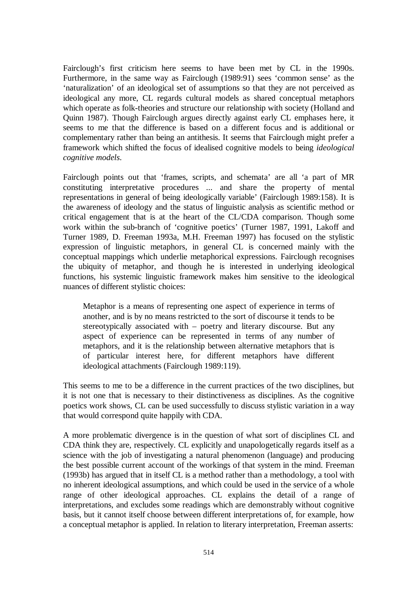Fairclough's first criticism here seems to have been met by CL in the 1990s. Furthermore, in the same way as Fairclough (1989:91) sees 'common sense' as the 'naturalization' of an ideological set of assumptions so that they are not perceived as ideological any more, CL regards cultural models as shared conceptual metaphors which operate as folk-theories and structure our relationship with society (Holland and Quinn 1987). Though Fairclough argues directly against early CL emphases here, it seems to me that the difference is based on a different focus and is additional or complementary rather than being an antithesis. It seems that Fairclough might prefer a framework which shifted the focus of idealised cognitive models to being *ideological cognitive models*.

Fairclough points out that 'frames, scripts, and schemata' are all 'a part of MR constituting interpretative procedures ... and share the property of mental representations in general of being ideologically variable' (Fairclough 1989:158). It is the awareness of ideology and the status of linguistic analysis as scientific method or critical engagement that is at the heart of the CL/CDA comparison. Though some work within the sub-branch of 'cognitive poetics' (Turner 1987, 1991, Lakoff and Turner 1989, D. Freeman 1993a, M.H. Freeman 1997) has focused on the stylistic expression of linguistic metaphors, in general CL is concerned mainly with the conceptual mappings which underlie metaphorical expressions. Fairclough recognises the ubiquity of metaphor, and though he is interested in underlying ideological functions, his systemic linguistic framework makes him sensitive to the ideological nuances of different stylistic choices:

Metaphor is a means of representing one aspect of experience in terms of another, and is by no means restricted to the sort of discourse it tends to be stereotypically associated with – poetry and literary discourse. But any aspect of experience can be represented in terms of any number of metaphors, and it is the relationship between alternative metaphors that is of particular interest here, for different metaphors have different ideological attachments (Fairclough 1989:119).

This seems to me to be a difference in the current practices of the two disciplines, but it is not one that is necessary to their distinctiveness as disciplines. As the cognitive poetics work shows, CL can be used successfully to discuss stylistic variation in a way that would correspond quite happily with CDA.

A more problematic divergence is in the question of what sort of disciplines CL and CDA think they are, respectively. CL explicitly and unapologetically regards itself as a science with the job of investigating a natural phenomenon (language) and producing the best possible current account of the workings of that system in the mind. Freeman (1993b) has argued that in itself CL is a method rather than a methodology, a tool with no inherent ideological assumptions, and which could be used in the service of a whole range of other ideological approaches. CL explains the detail of a range of interpretations, and excludes some readings which are demonstrably without cognitive basis, but it cannot itself choose between different interpretations of, for example, how a conceptual metaphor is applied. In relation to literary interpretation, Freeman asserts: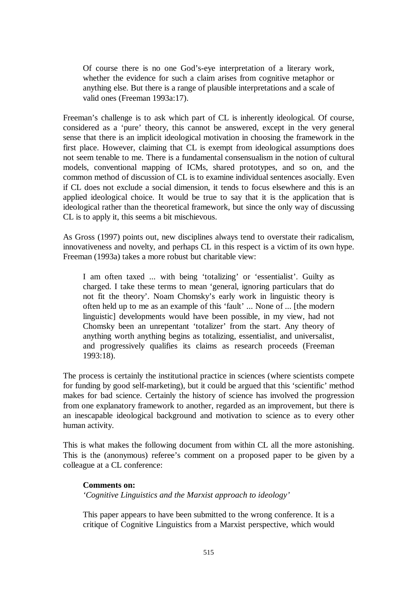Of course there is no one God's-eye interpretation of a literary work, whether the evidence for such a claim arises from cognitive metaphor or anything else. But there is a range of plausible interpretations and a scale of valid ones (Freeman 1993a:17).

Freeman's challenge is to ask which part of CL is inherently ideological. Of course, considered as a 'pure' theory, this cannot be answered, except in the very general sense that there is an implicit ideological motivation in choosing the framework in the first place. However, claiming that CL is exempt from ideological assumptions does not seem tenable to me. There is a fundamental consensualism in the notion of cultural models, conventional mapping of ICMs, shared prototypes, and so on, and the common method of discussion of CL is to examine individual sentences asocially. Even if CL does not exclude a social dimension, it tends to focus elsewhere and this is an applied ideological choice. It would be true to say that it is the application that is ideological rather than the theoretical framework, but since the only way of discussing CL is to apply it, this seems a bit mischievous.

As Gross (1997) points out, new disciplines always tend to overstate their radicalism, innovativeness and novelty, and perhaps CL in this respect is a victim of its own hype. Freeman (1993a) takes a more robust but charitable view:

I am often taxed ... with being 'totalizing' or 'essentialist'. Guilty as charged. I take these terms to mean 'general, ignoring particulars that do not fit the theory'. Noam Chomsky's early work in linguistic theory is often held up to me as an example of this 'fault' ... None of ... [the modern linguistic] developments would have been possible, in my view, had not Chomsky been an unrepentant 'totalizer' from the start. Any theory of anything worth anything begins as totalizing, essentialist, and universalist, and progressively qualifies its claims as research proceeds (Freeman 1993:18).

The process is certainly the institutional practice in sciences (where scientists compete for funding by good self-marketing), but it could be argued that this 'scientific' method makes for bad science. Certainly the history of science has involved the progression from one explanatory framework to another, regarded as an improvement, but there is an inescapable ideological background and motivation to science as to every other human activity.

This is what makes the following document from within CL all the more astonishing. This is the (anonymous) referee's comment on a proposed paper to be given by a colleague at a CL conference:

## **Comments on:**  *'Cognitive Linguistics and the Marxist approach to ideology'*

This paper appears to have been submitted to the wrong conference. It is a critique of Cognitive Linguistics from a Marxist perspective, which would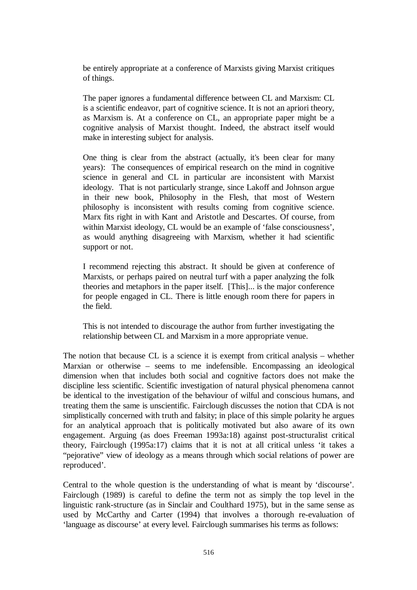be entirely appropriate at a conference of Marxists giving Marxist critiques of things.

The paper ignores a fundamental difference between CL and Marxism: CL is a scientific endeavor, part of cognitive science. It is not an apriori theory, as Marxism is. At a conference on CL, an appropriate paper might be a cognitive analysis of Marxist thought. Indeed, the abstract itself would make in interesting subject for analysis.

One thing is clear from the abstract (actually, it's been clear for many years): The consequences of empirical research on the mind in cognitive science in general and CL in particular are inconsistent with Marxist ideology. That is not particularly strange, since Lakoff and Johnson argue in their new book, Philosophy in the Flesh, that most of Western philosophy is inconsistent with results coming from cognitive science. Marx fits right in with Kant and Aristotle and Descartes. Of course, from within Marxist ideology, CL would be an example of 'false consciousness', as would anything disagreeing with Marxism, whether it had scientific support or not.

I recommend rejecting this abstract. It should be given at conference of Marxists, or perhaps paired on neutral turf with a paper analyzing the folk theories and metaphors in the paper itself. [This]... is the major conference for people engaged in CL. There is little enough room there for papers in the field.

This is not intended to discourage the author from further investigating the relationship between CL and Marxism in a more appropriate venue.

The notion that because CL is a science it is exempt from critical analysis – whether Marxian or otherwise – seems to me indefensible. Encompassing an ideological dimension when that includes both social and cognitive factors does not make the discipline less scientific. Scientific investigation of natural physical phenomena cannot be identical to the investigation of the behaviour of wilful and conscious humans, and treating them the same is unscientific. Fairclough discusses the notion that CDA is not simplistically concerned with truth and falsity; in place of this simple polarity he argues for an analytical approach that is politically motivated but also aware of its own engagement. Arguing (as does Freeman 1993a:18) against post-structuralist critical theory, Fairclough (1995a:17) claims that it is not at all critical unless 'it takes a "pejorative" view of ideology as a means through which social relations of power are reproduced'.

Central to the whole question is the understanding of what is meant by 'discourse'. Fairclough (1989) is careful to define the term not as simply the top level in the linguistic rank-structure (as in Sinclair and Coulthard 1975), but in the same sense as used by McCarthy and Carter (1994) that involves a thorough re-evaluation of 'language as discourse' at every level. Fairclough summarises his terms as follows: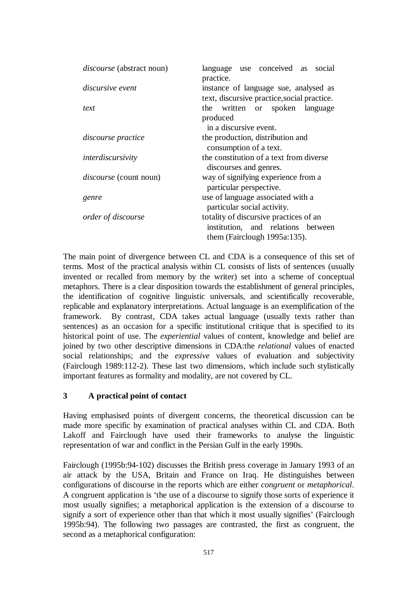| <i>discourse</i> (abstract noun) | language use conceived as social<br>practice.                                                                   |
|----------------------------------|-----------------------------------------------------------------------------------------------------------------|
| <i>discursive event</i>          | instance of language sue, analysed as<br>text, discursive practice, social practice.                            |
| text                             | the written or spoken language<br>produced                                                                      |
|                                  | in a discursive event.                                                                                          |
| discourse practice               | the production, distribution and<br>consumption of a text.                                                      |
| interdiscursivity                | the constitution of a text from diverse<br>discourses and genres.                                               |
| <i>discourse</i> (count noun)    | way of signifying experience from a<br>particular perspective.                                                  |
| genre                            | use of language associated with a<br>particular social activity.                                                |
| order of discourse               | totality of discursive practices of an<br>institution, and relations between<br>them (Fairclough $1995a:135$ ). |

The main point of divergence between CL and CDA is a consequence of this set of terms. Most of the practical analysis within CL consists of lists of sentences (usually invented or recalled from memory by the writer) set into a scheme of conceptual metaphors. There is a clear disposition towards the establishment of general principles, the identification of cognitive linguistic universals, and scientifically recoverable, replicable and explanatory interpretations. Actual language is an exemplification of the framework. By contrast, CDA takes actual language (usually texts rather than sentences) as an occasion for a specific institutional critique that is specified to its historical point of use. The *experiential* values of content, knowledge and belief are joined by two other descriptive dimensions in CDA:the *relational* values of enacted social relationships; and the *expressive* values of evaluation and subjectivity (Fairclough 1989:112-2). These last two dimensions, which include such stylistically important features as formality and modality, are not covered by CL.

## **3 A practical point of contact**

Having emphasised points of divergent concerns, the theoretical discussion can be made more specific by examination of practical analyses within CL and CDA. Both Lakoff and Fairclough have used their frameworks to analyse the linguistic representation of war and conflict in the Persian Gulf in the early 1990s.

Fairclough (1995b:94-102) discusses the British press coverage in January 1993 of an air attack by the USA, Britain and France on Iraq. He distinguishes between configurations of discourse in the reports which are either *congruent* or *metaphorical*. A congruent application is 'the use of a discourse to signify those sorts of experience it most usually signifies; a metaphorical application is the extension of a discourse to signify a sort of experience other than that which it most usually signifies' (Fairclough 1995b:94). The following two passages are contrasted, the first as congruent, the second as a metaphorical configuration: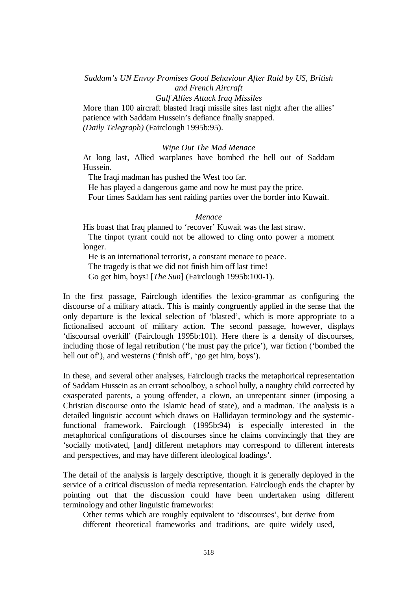*Saddam's UN Envoy Promises Good Behaviour After Raid by US, British and French Aircraft* 

#### *Gulf Allies Attack Iraq Missiles*

More than 100 aircraft blasted Iraqi missile sites last night after the allies' patience with Saddam Hussein's defiance finally snapped. *(Daily Telegraph)* (Fairclough 1995b:95).

#### *Wipe Out The Mad Menace*

At long last, Allied warplanes have bombed the hell out of Saddam Hussein.

The Iraqi madman has pushed the West too far.

He has played a dangerous game and now he must pay the price.

Four times Saddam has sent raiding parties over the border into Kuwait.

#### *Menace*

His boast that Iraq planned to 'recover' Kuwait was the last straw.

 The tinpot tyrant could not be allowed to cling onto power a moment longer.

He is an international terrorist, a constant menace to peace.

The tragedy is that we did not finish him off last time!

Go get him, boys! [*The Sun*] (Fairclough 1995b:100-1).

In the first passage, Fairclough identifies the lexico-grammar as configuring the discourse of a military attack. This is mainly congruently applied in the sense that the only departure is the lexical selection of 'blasted', which is more appropriate to a fictionalised account of military action. The second passage, however, displays 'discoursal overkill' (Fairclough 1995b:101). Here there is a density of discourses, including those of legal retribution ('he must pay the price'), war fiction ('bombed the hell out of'), and westerns ('finish off', 'go get him, boys').

In these, and several other analyses, Fairclough tracks the metaphorical representation of Saddam Hussein as an errant schoolboy, a school bully, a naughty child corrected by exasperated parents, a young offender, a clown, an unrepentant sinner (imposing a Christian discourse onto the Islamic head of state), and a madman. The analysis is a detailed linguistic account which draws on Hallidayan terminology and the systemicfunctional framework. Fairclough (1995b:94) is especially interested in the metaphorical configurations of discourses since he claims convincingly that they are 'socially motivated, [and] different metaphors may correspond to different interests and perspectives, and may have different ideological loadings'.

The detail of the analysis is largely descriptive, though it is generally deployed in the service of a critical discussion of media representation. Fairclough ends the chapter by pointing out that the discussion could have been undertaken using different terminology and other linguistic frameworks:

Other terms which are roughly equivalent to 'discourses', but derive from different theoretical frameworks and traditions, are quite widely used,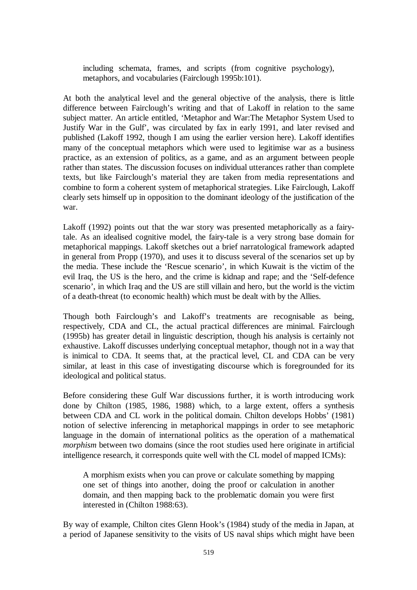including schemata, frames, and scripts (from cognitive psychology), metaphors, and vocabularies (Fairclough 1995b:101).

At both the analytical level and the general objective of the analysis, there is little difference between Fairclough's writing and that of Lakoff in relation to the same subject matter. An article entitled, 'Metaphor and War:The Metaphor System Used to Justify War in the Gulf', was circulated by fax in early 1991, and later revised and published (Lakoff 1992, though I am using the earlier version here). Lakoff identifies many of the conceptual metaphors which were used to legitimise war as a business practice, as an extension of politics, as a game, and as an argument between people rather than states. The discussion focuses on individual utterances rather than complete texts, but like Fairclough's material they are taken from media representations and combine to form a coherent system of metaphorical strategies. Like Fairclough, Lakoff clearly sets himself up in opposition to the dominant ideology of the justification of the war.

Lakoff (1992) points out that the war story was presented metaphorically as a fairytale. As an idealised cognitive model, the fairy-tale is a very strong base domain for metaphorical mappings. Lakoff sketches out a brief narratological framework adapted in general from Propp (1970), and uses it to discuss several of the scenarios set up by the media. These include the 'Rescue scenario', in which Kuwait is the victim of the evil Iraq, the US is the hero, and the crime is kidnap and rape; and the 'Self-defence scenario', in which Iraq and the US are still villain and hero, but the world is the victim of a death-threat (to economic health) which must be dealt with by the Allies.

Though both Fairclough's and Lakoff's treatments are recognisable as being, respectively, CDA and CL, the actual practical differences are minimal. Fairclough (1995b) has greater detail in linguistic description, though his analysis is certainly not exhaustive. Lakoff discusses underlying conceptual metaphor, though not in a way that is inimical to CDA. It seems that, at the practical level, CL and CDA can be very similar, at least in this case of investigating discourse which is foregrounded for its ideological and political status.

Before considering these Gulf War discussions further, it is worth introducing work done by Chilton (1985, 1986, 1988) which, to a large extent, offers a synthesis between CDA and CL work in the political domain. Chilton develops Hobbs' (1981) notion of selective inferencing in metaphorical mappings in order to see metaphoric language in the domain of international politics as the operation of a mathematical *morphism* between two domains (since the root studies used here originate in artificial intelligence research, it corresponds quite well with the CL model of mapped ICMs):

A morphism exists when you can prove or calculate something by mapping one set of things into another, doing the proof or calculation in another domain, and then mapping back to the problematic domain you were first interested in (Chilton 1988:63).

By way of example, Chilton cites Glenn Hook's (1984) study of the media in Japan, at a period of Japanese sensitivity to the visits of US naval ships which might have been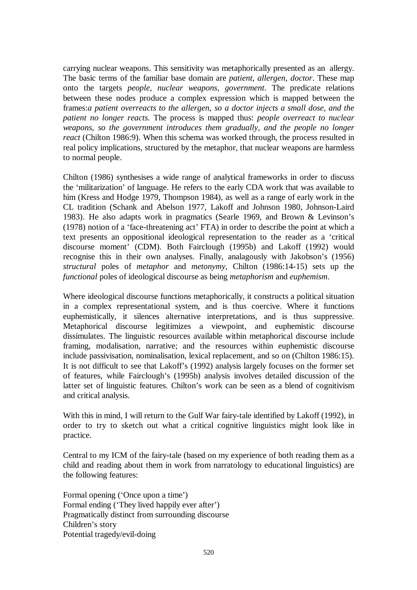carrying nuclear weapons. This sensitivity was metaphorically presented as an allergy. The basic terms of the familiar base domain are *patient, allergen, doctor*. These map onto the targets *people, nuclear weapons, government*. The predicate relations between these nodes produce a complex expression which is mapped between the frames:*a patient overreacts to the allergen, so a doctor injects a small dose, and the patient no longer reacts*. The process is mapped thus: *people overreact to nuclear weapons, so the government introduces them gradually, and the people no longer react* (Chilton 1986:9). When this schema was worked through, the process resulted in real policy implications, structured by the metaphor, that nuclear weapons are harmless to normal people.

Chilton (1986) synthesises a wide range of analytical frameworks in order to discuss the 'militarization' of language. He refers to the early CDA work that was available to him (Kress and Hodge 1979, Thompson 1984), as well as a range of early work in the CL tradition (Schank and Abelson 1977, Lakoff and Johnson 1980, Johnson-Laird 1983). He also adapts work in pragmatics (Searle 1969, and Brown & Levinson's (1978) notion of a 'face-threatening act' FTA) in order to describe the point at which a text presents an oppositional ideological representation to the reader as a 'critical discourse moment' (CDM). Both Fairclough (1995b) and Lakoff (1992) would recognise this in their own analyses. Finally, analagously with Jakobson's (1956) *structural* poles of *metaphor* and *metonymy*, Chilton (1986:14-15) sets up the *functional* poles of ideological discourse as being *metaphorism* and *euphemism*.

Where ideological discourse functions metaphorically, it constructs a political situation in a complex representational system, and is thus coercive. Where it functions euphemistically, it silences alternative interpretations, and is thus suppressive. Metaphorical discourse legitimizes a viewpoint, and euphemistic discourse dissimulates. The linguistic resources available within metaphorical discourse include framing, modalisation, narrative; and the resources within euphemistic discourse include passivisation, nominalisation, lexical replacement, and so on (Chilton 1986:15). It is not difficult to see that Lakoff's (1992) analysis largely focuses on the former set of features, while Fairclough's (1995b) analysis involves detailed discussion of the latter set of linguistic features. Chilton's work can be seen as a blend of cognitivism and critical analysis.

With this in mind, I will return to the Gulf War fairy-tale identified by Lakoff (1992), in order to try to sketch out what a critical cognitive linguistics might look like in practice.

Central to my ICM of the fairy-tale (based on my experience of both reading them as a child and reading about them in work from narratology to educational linguistics) are the following features:

Formal opening ('Once upon a time') Formal ending ('They lived happily ever after') Pragmatically distinct from surrounding discourse Children's story Potential tragedy/evil-doing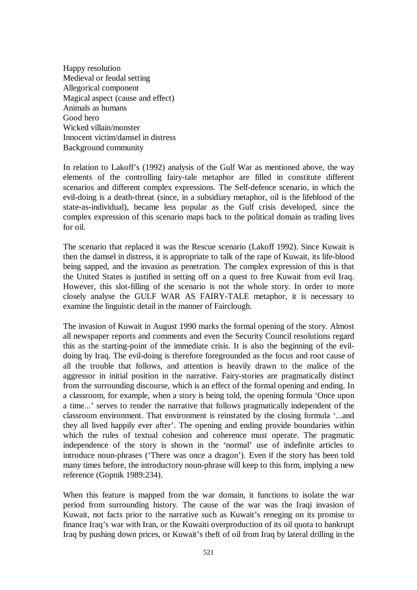Happy resolution Medieval or feudal setting Allegorical component Magical aspect (cause and effect) Animals as humans Good hero Wicked villain/monster Innocent victim/damsel in distress Background community

In relation to Lakoff's (1992) analysis of the Gulf War as mentioned above, the way elements of the controlling fairy-tale metaphor are filled in constitute different scenarios and different complex expressions. The Self-defence scenario, in which the evil-doing is a death-threat (since, in a subsidiary metaphor, oil is the lifeblood of the state-as-individual), became less popular as the Gulf crisis developed, since the complex expression of this scenario maps back to the political domain as trading lives for oil.

The scenario that replaced it was the Rescue scenario (Lakoff 1992). Since Kuwait is then the damsel in distress, it is appropriate to talk of the rape of Kuwait, its life-blood being sapped, and the invasion as penetration. The complex expression of this is that the United States is justified in setting off on a quest to free Kuwait from evil Iraq. However, this slot-filling of the scenario is not the whole story. In order to more closely analyse the GULF WAR AS FAIRY-TALE metaphor, it is necessary to examine the linguistic detail in the manner of Fairclough.

The invasion of Kuwait in August 1990 marks the formal opening of the story. Almost all newspaper reports and comments and even the Security Council resolutions regard this as the starting-point of the immediate crisis. It is also the beginning of the evildoing by Iraq. The evil-doing is therefore foregrounded as the focus and root cause of all the trouble that follows, and attention is heavily drawn to the malice of the aggressor in initial position in the narrative. Fairy-stories are pragmatically distinct from the surrounding discourse, which is an effect of the formal opening and ending. In a classroom, for example, when a story is being told, the opening formula 'Once upon a time...' serves to render the narrative that follows pragmatically independent of the classroom environment. That environment is reinstated by the closing formula '...and they all lived happily ever after'. The opening and ending provide boundaries within which the rules of textual cohesion and coherence must operate. The pragmatic independence of the story is shown in the 'normal' use of indefinite articles to introduce noun-phrases ('There was once a dragon'). Even if the story has been told many times before, the introductory noun-phrase will keep to this form, implying a new reference (Gopnik 1989:234).

When this feature is mapped from the war domain, it functions to isolate the war period from surrounding history. The cause of the war was the Iraqi invasion of Kuwait, not facts prior to the narrative such as Kuwait's reneging on its promise to finance Iraq's war with Iran, or the Kuwaiti overproduction of its oil quota to bankrupt Iraq by pushing down prices, or Kuwait's theft of oil from Iraq by lateral drilling in the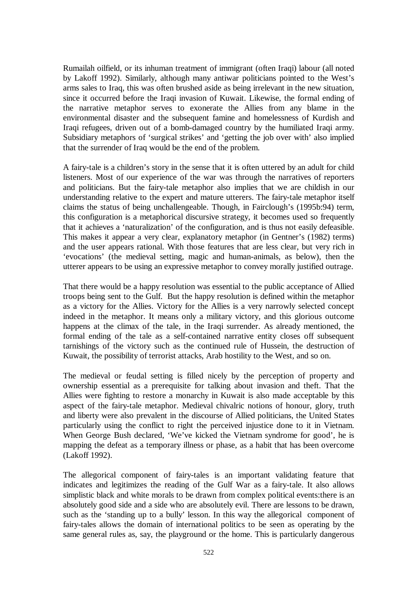Rumailah oilfield, or its inhuman treatment of immigrant (often Iraqi) labour (all noted by Lakoff 1992). Similarly, although many antiwar politicians pointed to the West's arms sales to Iraq, this was often brushed aside as being irrelevant in the new situation, since it occurred before the Iraqi invasion of Kuwait. Likewise, the formal ending of the narrative metaphor serves to exonerate the Allies from any blame in the environmental disaster and the subsequent famine and homelessness of Kurdish and Iraqi refugees, driven out of a bomb-damaged country by the humiliated Iraqi army. Subsidiary metaphors of 'surgical strikes' and 'getting the job over with' also implied that the surrender of Iraq would be the end of the problem.

A fairy-tale is a children's story in the sense that it is often uttered by an adult for child listeners. Most of our experience of the war was through the narratives of reporters and politicians. But the fairy-tale metaphor also implies that we are childish in our understanding relative to the expert and mature utterers. The fairy-tale metaphor itself claims the status of being unchallengeable. Though, in Fairclough's (1995b:94) term, this configuration is a metaphorical discursive strategy, it becomes used so frequently that it achieves a 'naturalization' of the configuration, and is thus not easily defeasible. This makes it appear a very clear, explanatory metaphor (in Gentner's (1982) terms) and the user appears rational. With those features that are less clear, but very rich in 'evocations' (the medieval setting, magic and human-animals, as below), then the utterer appears to be using an expressive metaphor to convey morally justified outrage.

That there would be a happy resolution was essential to the public acceptance of Allied troops being sent to the Gulf. But the happy resolution is defined within the metaphor as a victory for the Allies. Victory for the Allies is a very narrowly selected concept indeed in the metaphor. It means only a military victory, and this glorious outcome happens at the climax of the tale, in the Iraqi surrender. As already mentioned, the formal ending of the tale as a self-contained narrative entity closes off subsequent tarnishings of the victory such as the continued rule of Hussein, the destruction of Kuwait, the possibility of terrorist attacks, Arab hostility to the West, and so on.

The medieval or feudal setting is filled nicely by the perception of property and ownership essential as a prerequisite for talking about invasion and theft. That the Allies were fighting to restore a monarchy in Kuwait is also made acceptable by this aspect of the fairy-tale metaphor. Medieval chivalric notions of honour, glory, truth and liberty were also prevalent in the discourse of Allied politicians, the United States particularly using the conflict to right the perceived injustice done to it in Vietnam. When George Bush declared, 'We've kicked the Vietnam syndrome for good', he is mapping the defeat as a temporary illness or phase, as a habit that has been overcome (Lakoff 1992).

The allegorical component of fairy-tales is an important validating feature that indicates and legitimizes the reading of the Gulf War as a fairy-tale. It also allows simplistic black and white morals to be drawn from complex political events:there is an absolutely good side and a side who are absolutely evil. There are lessons to be drawn, such as the 'standing up to a bully' lesson. In this way the allegorical component of fairy-tales allows the domain of international politics to be seen as operating by the same general rules as, say, the playground or the home. This is particularly dangerous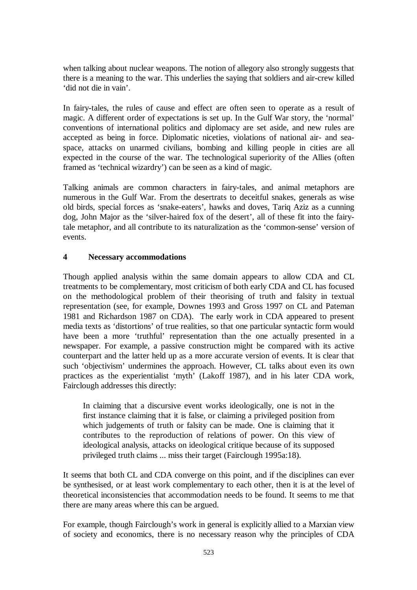when talking about nuclear weapons. The notion of allegory also strongly suggests that there is a meaning to the war. This underlies the saying that soldiers and air-crew killed 'did not die in vain'.

In fairy-tales, the rules of cause and effect are often seen to operate as a result of magic. A different order of expectations is set up. In the Gulf War story, the 'normal' conventions of international politics and diplomacy are set aside, and new rules are accepted as being in force. Diplomatic niceties, violations of national air- and seaspace, attacks on unarmed civilians, bombing and killing people in cities are all expected in the course of the war. The technological superiority of the Allies (often framed as 'technical wizardry') can be seen as a kind of magic.

Talking animals are common characters in fairy-tales, and animal metaphors are numerous in the Gulf War. From the desertrats to deceitful snakes, generals as wise old birds, special forces as 'snake-eaters', hawks and doves, Tariq Aziz as a cunning dog, John Major as the 'silver-haired fox of the desert', all of these fit into the fairytale metaphor, and all contribute to its naturalization as the 'common-sense' version of events.

## **4 Necessary accommodations**

Though applied analysis within the same domain appears to allow CDA and CL treatments to be complementary, most criticism of both early CDA and CL has focused on the methodological problem of their theorising of truth and falsity in textual representation (see, for example, Downes 1993 and Gross 1997 on CL and Pateman 1981 and Richardson 1987 on CDA). The early work in CDA appeared to present media texts as 'distortions' of true realities, so that one particular syntactic form would have been a more 'truthful' representation than the one actually presented in a newspaper. For example, a passive construction might be compared with its active counterpart and the latter held up as a more accurate version of events. It is clear that such 'objectivism' undermines the approach. However, CL talks about even its own practices as the experientialist 'myth' (Lakoff 1987), and in his later CDA work, Fairclough addresses this directly:

In claiming that a discursive event works ideologically, one is not in the first instance claiming that it is false, or claiming a privileged position from which judgements of truth or falsity can be made. One is claiming that it contributes to the reproduction of relations of power. On this view of ideological analysis, attacks on ideological critique because of its supposed privileged truth claims ... miss their target (Fairclough 1995a:18).

It seems that both CL and CDA converge on this point, and if the disciplines can ever be synthesised, or at least work complementary to each other, then it is at the level of theoretical inconsistencies that accommodation needs to be found. It seems to me that there are many areas where this can be argued.

For example, though Fairclough's work in general is explicitly allied to a Marxian view of society and economics, there is no necessary reason why the principles of CDA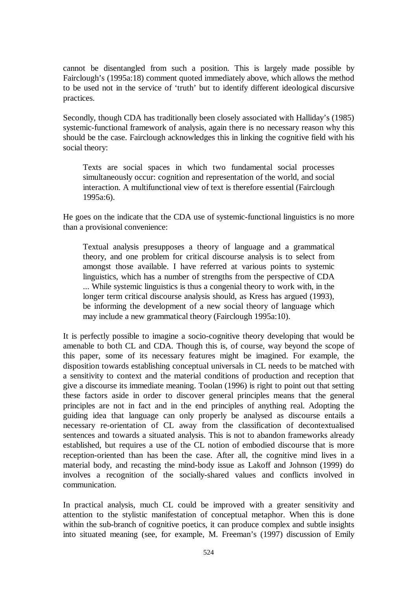cannot be disentangled from such a position. This is largely made possible by Fairclough's (1995a:18) comment quoted immediately above, which allows the method to be used not in the service of 'truth' but to identify different ideological discursive practices.

Secondly, though CDA has traditionally been closely associated with Halliday's (1985) systemic-functional framework of analysis, again there is no necessary reason why this should be the case. Fairclough acknowledges this in linking the cognitive field with his social theory:

Texts are social spaces in which two fundamental social processes simultaneously occur: cognition and representation of the world, and social interaction. A multifunctional view of text is therefore essential (Fairclough 1995a:6).

He goes on the indicate that the CDA use of systemic-functional linguistics is no more than a provisional convenience:

Textual analysis presupposes a theory of language and a grammatical theory, and one problem for critical discourse analysis is to select from amongst those available. I have referred at various points to systemic linguistics, which has a number of strengths from the perspective of CDA ... While systemic linguistics is thus a congenial theory to work with, in the longer term critical discourse analysis should, as Kress has argued (1993), be informing the development of a new social theory of language which may include a new grammatical theory (Fairclough 1995a:10).

It is perfectly possible to imagine a socio-cognitive theory developing that would be amenable to both CL and CDA. Though this is, of course, way beyond the scope of this paper, some of its necessary features might be imagined. For example, the disposition towards establishing conceptual universals in CL needs to be matched with a sensitivity to context and the material conditions of production and reception that give a discourse its immediate meaning. Toolan (1996) is right to point out that setting these factors aside in order to discover general principles means that the general principles are not in fact and in the end principles of anything real. Adopting the guiding idea that language can only properly be analysed as discourse entails a necessary re-orientation of CL away from the classification of decontextualised sentences and towards a situated analysis. This is not to abandon frameworks already established, but requires a use of the CL notion of embodied discourse that is more reception-oriented than has been the case. After all, the cognitive mind lives in a material body, and recasting the mind-body issue as Lakoff and Johnson (1999) do involves a recognition of the socially-shared values and conflicts involved in communication.

In practical analysis, much CL could be improved with a greater sensitivity and attention to the stylistic manifestation of conceptual metaphor. When this is done within the sub-branch of cognitive poetics, it can produce complex and subtle insights into situated meaning (see, for example, M. Freeman's (1997) discussion of Emily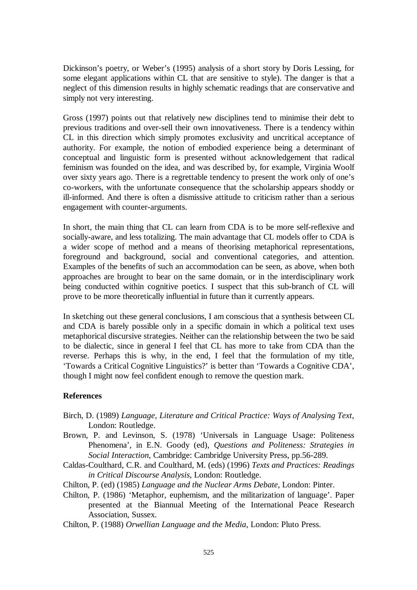Dickinson's poetry, or Weber's (1995) analysis of a short story by Doris Lessing, for some elegant applications within CL that are sensitive to style). The danger is that a neglect of this dimension results in highly schematic readings that are conservative and simply not very interesting.

Gross (1997) points out that relatively new disciplines tend to minimise their debt to previous traditions and over-sell their own innovativeness. There is a tendency within CL in this direction which simply promotes exclusivity and uncritical acceptance of authority. For example, the notion of embodied experience being a determinant of conceptual and linguistic form is presented without acknowledgement that radical feminism was founded on the idea, and was described by, for example, Virginia Woolf over sixty years ago. There is a regrettable tendency to present the work only of one's co-workers, with the unfortunate consequence that the scholarship appears shoddy or ill-informed. And there is often a dismissive attitude to criticism rather than a serious engagement with counter-arguments.

In short, the main thing that CL can learn from CDA is to be more self-reflexive and socially-aware, and less totalizing. The main advantage that CL models offer to CDA is a wider scope of method and a means of theorising metaphorical representations, foreground and background, social and conventional categories, and attention. Examples of the benefits of such an accommodation can be seen, as above, when both approaches are brought to bear on the same domain, or in the interdisciplinary work being conducted within cognitive poetics. I suspect that this sub-branch of CL will prove to be more theoretically influential in future than it currently appears.

In sketching out these general conclusions, I am conscious that a synthesis between CL and CDA is barely possible only in a specific domain in which a political text uses metaphorical discursive strategies. Neither can the relationship between the two be said to be dialectic, since in general I feel that CL has more to take from CDA than the reverse. Perhaps this is why, in the end, I feel that the formulation of my title, 'Towards a Critical Cognitive Linguistics?' is better than 'Towards a Cognitive CDA', though I might now feel confident enough to remove the question mark.

### **References**

- Birch, D. (1989) *Language, Literature and Critical Practice: Ways of Analysing Text*, London: Routledge.
- Brown, P. and Levinson, S. (1978) 'Universals in Language Usage: Politeness Phenomena', in E.N. Goody (ed), *Questions and Politeness: Strategies in Social Interaction*, Cambridge: Cambridge University Press, pp.56-289.
- Caldas-Coulthard, C.R. and Coulthard, M. (eds) (1996) *Texts and Practices: Readings in Critical Discourse Analysis*, London: Routledge.
- Chilton, P. (ed) (1985) *Language and the Nuclear Arms Debate*, London: Pinter.
- Chilton, P. (1986) 'Metaphor, euphemism, and the militarization of language'. Paper presented at the Biannual Meeting of the International Peace Research Association, Sussex.
- Chilton, P. (1988) *Orwellian Language and the Media*, London: Pluto Press.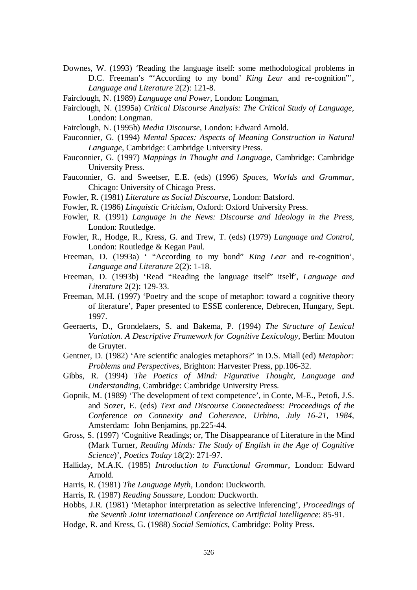- Downes, W. (1993) 'Reading the language itself: some methodological problems in D.C. Freeman's "'According to my bond' *King Lear* and re-cognition"', *Language and Literature* 2(2): 121-8.
- Fairclough, N. (1989) *Language and Power*, London: Longman,
- Fairclough, N. (1995a) *Critical Discourse Analysis: The Critical Study of Language*, London: Longman.
- Fairclough, N. (1995b) *Media Discourse*, London: Edward Arnold.
- Fauconnier, G. (1994) *Mental Spaces: Aspects of Meaning Construction in Natural Language*, Cambridge: Cambridge University Press.
- Fauconnier, G. (1997) *Mappings in Thought and Language*, Cambridge: Cambridge University Press.
- Fauconnier, G. and Sweetser, E.E. (eds) (1996) *Spaces, Worlds and Grammar*, Chicago: University of Chicago Press.
- Fowler, R. (1981) *Literature as Social Discourse*, London: Batsford.
- Fowler, R. (1986) *Linguistic Criticism*, Oxford: Oxford University Press.
- Fowler, R. (1991) *Language in the News: Discourse and Ideology in the Press*, London: Routledge.
- Fowler, R., Hodge, R., Kress, G. and Trew, T. (eds) (1979) *Language and Control*, London: Routledge & Kegan Paul.
- Freeman, D. (1993a) ' "According to my bond" *King Lear* and re-cognition', *Language and Literature* 2(2): 1-18.
- Freeman, D. (1993b) 'Read "Reading the language itself" itself', *Language and Literature* 2(2): 129-33.
- Freeman, M.H. (1997) 'Poetry and the scope of metaphor: toward a cognitive theory of literature', Paper presented to ESSE conference, Debrecen, Hungary, Sept. 1997.
- Geeraerts, D., Grondelaers, S. and Bakema, P. (1994) *The Structure of Lexical Variation. A Descriptive Framework for Cognitive Lexicology*, Berlin: Mouton de Gruyter.
- Gentner, D. (1982) 'Are scientific analogies metaphors?' in D.S. Miall (ed) *Metaphor: Problems and Perspectives*, Brighton: Harvester Press, pp.106-32.
- Gibbs, R. (1994) *The Poetics of Mind: Figurative Thought, Language and Understanding*, Cambridge: Cambridge University Press.
- Gopnik, M. (1989) 'The development of text competence', in Conte, M-E., Petofi, J.S. and Sozer, E. (eds) *Text and Discourse Connectedness: Proceedings of the Conference on Connexity and Coherence, Urbino, July 16-21, 1984*, Amsterdam: John Benjamins, pp.225-44.
- Gross, S. (1997) 'Cognitive Readings; or, The Disappearance of Literature in the Mind (Mark Turner, *Reading Minds: The Study of English in the Age of Cognitive Science*)', *Poetics Today* 18(2): 271-97.
- Halliday, M.A.K. (1985) *Introduction to Functional Grammar*, London: Edward Arnold.
- Harris, R. (1981) *The Language Myth*, London: Duckworth.
- Harris, R. (1987) *Reading Saussure*, London: Duckworth.
- Hobbs, J.R. (1981) 'Metaphor interpretation as selective inferencing', *Proceedings of the Seventh Joint International Conference on Artificial Intelligence*: 85-91.
- Hodge, R. and Kress, G. (1988) *Social Semiotics*, Cambridge: Polity Press.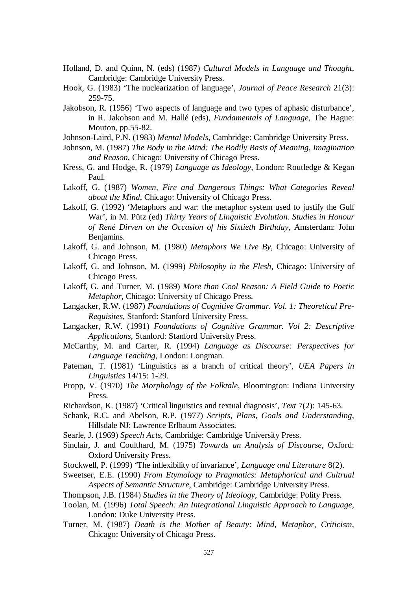- Holland, D. and Quinn, N. (eds) (1987) *Cultural Models in Language and Thought*, Cambridge: Cambridge University Press.
- Hook, G. (1983) 'The nuclearization of language', *Journal of Peace Research* 21(3): 259-75.
- Jakobson, R. (1956) 'Two aspects of language and two types of aphasic disturbance', in R. Jakobson and M. Hallé (eds), *Fundamentals of Language*, The Hague: Mouton, pp.55-82.
- Johnson-Laird, P.N. (1983) *Mental Models*, Cambridge: Cambridge University Press.
- Johnson, M. (1987) *The Body in the Mind: The Bodily Basis of Meaning, Imagination and Reason*, Chicago: University of Chicago Press.
- Kress, G. and Hodge, R. (1979) *Language as Ideology*, London: Routledge & Kegan Paul.
- Lakoff, G. (1987) *Women, Fire and Dangerous Things: What Categories Reveal about the Mind*, Chicago: University of Chicago Press.
- Lakoff, G. (1992) 'Metaphors and war: the metaphor system used to justify the Gulf War', in M. Pütz (ed) *Thirty Years of Linguistic Evolution. Studies in Honour of René Dirven on the Occasion of his Sixtieth Birthday*, Amsterdam: John Benjamins.
- Lakoff, G. and Johnson, M. (1980) *Metaphors We Live By*, Chicago: University of Chicago Press.
- Lakoff, G. and Johnson, M. (1999) *Philosophy in the Flesh*, Chicago: University of Chicago Press.
- Lakoff, G. and Turner, M. (1989) *More than Cool Reason: A Field Guide to Poetic Metaphor*, Chicago: University of Chicago Press.
- Langacker, R.W. (1987) *Foundations of Cognitive Grammar. Vol. 1: Theoretical Pre-Requisites*, Stanford: Stanford University Press.
- Langacker, R.W. (1991) *Foundations of Cognitive Grammar. Vol 2: Descriptive Applications*, Stanford: Stanford University Press.
- McCarthy, M. and Carter, R. (1994) *Language as Discourse: Perspectives for Language Teaching*, London: Longman.
- Pateman, T. (1981) 'Linguistics as a branch of critical theory', *UEA Papers in Linguistics* 14/15: 1-29.
- Propp, V. (1970) *The Morphology of the Folktale*, Bloomington: Indiana University Press.
- Richardson, K. (1987) 'Critical linguistics and textual diagnosis', *Text* 7(2): 145-63.
- Schank, R.C. and Abelson, R.P. (1977) *Scripts, Plans, Goals and Understanding*, Hillsdale NJ: Lawrence Erlbaum Associates.
- Searle, J. (1969) *Speech Acts*, Cambridge: Cambridge University Press.
- Sinclair, J. and Coulthard, M. (1975) *Towards an Analysis of Discourse*, Oxford: Oxford University Press.
- Stockwell, P. (1999) 'The inflexibility of invariance', *Language and Literature* 8(2).
- Sweetser, E.E. (1990) *From Etymology to Pragmatics: Metaphorical and Cultrual Aspects of Semantic Structure*, Cambridge: Cambridge University Press.
- Thompson, J.B. (1984) *Studies in the Theory of Ideology*, Cambridge: Polity Press.
- Toolan, M. (1996) *Total Speech: An Integrational Linguistic Approach to Language*, London: Duke University Press.
- Turner, M. (1987) *Death is the Mother of Beauty: Mind, Metaphor, Criticism*, Chicago: University of Chicago Press.